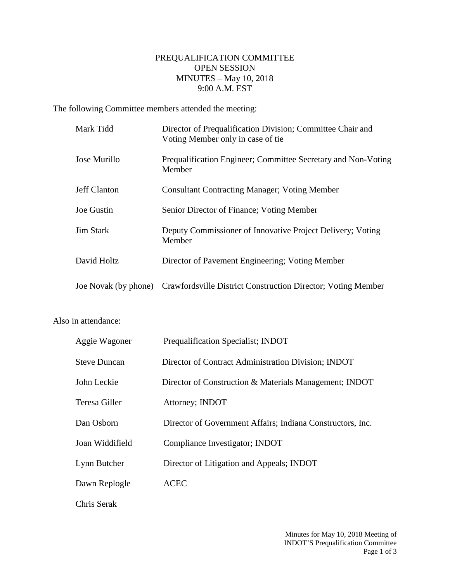## PREQUALIFICATION COMMITTEE OPEN SESSION MINUTES – May 10, 2018 9:00 A.M. EST

The following Committee members attended the meeting:

| Mark Tidd            | Director of Prequalification Division; Committee Chair and<br>Voting Member only in case of tie. |
|----------------------|--------------------------------------------------------------------------------------------------|
| Jose Murillo         | Prequalification Engineer; Committee Secretary and Non-Voting<br>Member                          |
| <b>Jeff Clanton</b>  | <b>Consultant Contracting Manager; Voting Member</b>                                             |
| Joe Gustin           | Senior Director of Finance; Voting Member                                                        |
| <b>Jim Stark</b>     | Deputy Commissioner of Innovative Project Delivery; Voting<br>Member                             |
| David Holtz          | Director of Pavement Engineering; Voting Member                                                  |
| Joe Novak (by phone) | Crawfordsville District Construction Director; Voting Member                                     |

## Also in attendance:

| Aggie Wagoner       | Prequalification Specialist; INDOT                         |
|---------------------|------------------------------------------------------------|
| <b>Steve Duncan</b> | Director of Contract Administration Division; INDOT        |
| John Leckie         | Director of Construction & Materials Management; INDOT     |
| Teresa Giller       | Attorney; INDOT                                            |
| Dan Osborn          | Director of Government Affairs; Indiana Constructors, Inc. |
| Joan Widdifield     | Compliance Investigator; INDOT                             |
| Lynn Butcher        | Director of Litigation and Appeals; INDOT                  |
| Dawn Replogle       | <b>ACEC</b>                                                |
| Chris Serak         |                                                            |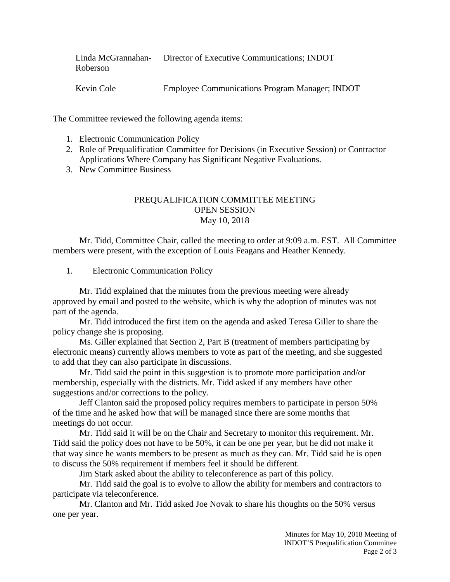|          | Linda McGrannahan- Director of Executive Communications; INDOT |
|----------|----------------------------------------------------------------|
| Roberson |                                                                |
|          |                                                                |

| Kevin Cole |  | <b>Employee Communications Program Manager; INDOT</b> |  |
|------------|--|-------------------------------------------------------|--|
|------------|--|-------------------------------------------------------|--|

The Committee reviewed the following agenda items:

- 1. Electronic Communication Policy
- 2. Role of Prequalification Committee for Decisions (in Executive Session) or Contractor Applications Where Company has Significant Negative Evaluations.
- 3. New Committee Business

## PREQUALIFICATION COMMITTEE MEETING OPEN SESSION May 10, 2018

Mr. Tidd, Committee Chair, called the meeting to order at 9:09 a.m. EST. All Committee members were present, with the exception of Louis Feagans and Heather Kennedy.

1. Electronic Communication Policy

Mr. Tidd explained that the minutes from the previous meeting were already approved by email and posted to the website, which is why the adoption of minutes was not part of the agenda.

Mr. Tidd introduced the first item on the agenda and asked Teresa Giller to share the policy change she is proposing.

Ms. Giller explained that Section 2, Part B (treatment of members participating by electronic means) currently allows members to vote as part of the meeting, and she suggested to add that they can also participate in discussions.

Mr. Tidd said the point in this suggestion is to promote more participation and/or membership, especially with the districts. Mr. Tidd asked if any members have other suggestions and/or corrections to the policy.

Jeff Clanton said the proposed policy requires members to participate in person 50% of the time and he asked how that will be managed since there are some months that meetings do not occur.

Mr. Tidd said it will be on the Chair and Secretary to monitor this requirement. Mr. Tidd said the policy does not have to be 50%, it can be one per year, but he did not make it that way since he wants members to be present as much as they can. Mr. Tidd said he is open to discuss the 50% requirement if members feel it should be different.

Jim Stark asked about the ability to teleconference as part of this policy.

Mr. Tidd said the goal is to evolve to allow the ability for members and contractors to participate via teleconference.

Mr. Clanton and Mr. Tidd asked Joe Novak to share his thoughts on the 50% versus one per year.